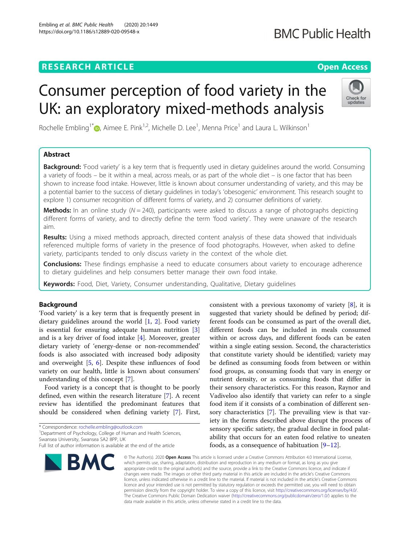## **RESEARCH ARTICLE Example 2014 12:30 The Contract of Contract ACCESS**

# Consumer perception of food variety in the UK: an exploratory mixed-methods analysis

Rochelle Embling<sup>1[\\*](http://orcid.org/0000-0001-9850-9603)</sup> $\textcircled{\tiny{\textcircled{\tiny{\textcirc}}}}$  Aimee E. Pink<sup>1,2</sup>, Michelle D. Lee<sup>1</sup>, Menna Price<sup>1</sup> and Laura L. Wilkinson<sup>1</sup>

## Abstract

**Background:** 'Food variety' is a key term that is frequently used in dietary quidelines around the world. Consuming a variety of foods – be it within a meal, across meals, or as part of the whole diet – is one factor that has been shown to increase food intake. However, little is known about consumer understanding of variety, and this may be a potential barrier to the success of dietary guidelines in today's 'obesogenic' environment. This research sought to explore 1) consumer recognition of different forms of variety, and 2) consumer definitions of variety.

**Methods:** In an online study  $(N = 240)$ , participants were asked to discuss a range of photographs depicting different forms of variety, and to directly define the term 'food variety'. They were unaware of the research aim.

Results: Using a mixed methods approach, directed content analysis of these data showed that individuals referenced multiple forms of variety in the presence of food photographs. However, when asked to define variety, participants tended to only discuss variety in the context of the whole diet.

**Conclusions:** These findings emphasise a need to educate consumers about variety to encourage adherence to dietary guidelines and help consumers better manage their own food intake.

Keywords: Food, Diet, Variety, Consumer understanding, Qualitative, Dietary quidelines

## Background

'Food variety' is a key term that is frequently present in dietary guidelines around the world [[1,](#page-7-0) [2\]](#page-7-0). Food variety is essential for ensuring adequate human nutrition [\[3](#page-7-0)] and is a key driver of food intake [[4\]](#page-7-0). Moreover, greater dietary variety of 'energy-dense or non-recommended' foods is also associated with increased body adiposity and overweight [\[5](#page-7-0), [6\]](#page-7-0). Despite these influences of food variety on our health, little is known about consumers' understanding of this concept [\[7](#page-7-0)].

Food variety is a concept that is thought to be poorly defined, even within the research literature [\[7](#page-7-0)]. A recent review has identified the predominant features that should be considered when defining variety [[7](#page-7-0)]. First,

\* Correspondence: [rochelle.embling@outlook.com](mailto:rochelle.embling@outlook.com) <sup>1</sup>

**BMC** 

<sup>1</sup> Department of Psychology, College of Human and Health Sciences, Swansea University, Swansea SA2 8PP, UK

ferent foods can be consumed as part of the overall diet, different foods can be included in meals consumed within or across days, and different foods can be eaten within a single eating session. Second, the characteristics that constitute variety should be identified; variety may be defined as consuming foods from between or within food groups, as consuming foods that vary in energy or nutrient density, or as consuming foods that differ in their sensory characteristics. For this reason, Raynor and Vadiveloo also identify that variety can refer to a single food item if it consists of a combination of different sen-

consistent with a previous taxonomy of variety [[8](#page-7-0)], it is suggested that variety should be defined by period; dif-

sory characteristics [[7\]](#page-7-0). The prevailing view is that variety in the forms described above disrupt the process of sensory specific satiety, the gradual decline in food palatability that occurs for an eaten food relative to uneaten foods, as a consequence of habituation  $[9-12]$  $[9-12]$  $[9-12]$ .

© The Author(s), 2020 **Open Access** This article is licensed under a Creative Commons Attribution 4.0 International License, which permits use, sharing, adaptation, distribution and reproduction in any medium or format, as long as you give appropriate credit to the original author(s) and the source, provide a link to the Creative Commons licence, and indicate if changes were made. The images or other third party material in this article are included in the article's Creative Commons licence, unless indicated otherwise in a credit line to the material. If material is not included in the article's Creative Commons licence and your intended use is not permitted by statutory regulation or exceeds the permitted use, you will need to obtain permission directly from the copyright holder. To view a copy of this licence, visit [http://creativecommons.org/licenses/by/4.0/.](http://creativecommons.org/licenses/by/4.0/) The Creative Commons Public Domain Dedication waiver [\(http://creativecommons.org/publicdomain/zero/1.0/](http://creativecommons.org/publicdomain/zero/1.0/)) applies to the data made available in this article, unless otherwise stated in a credit line to the data.



## **BMC Public Health**

Full list of author information is available at the end of the article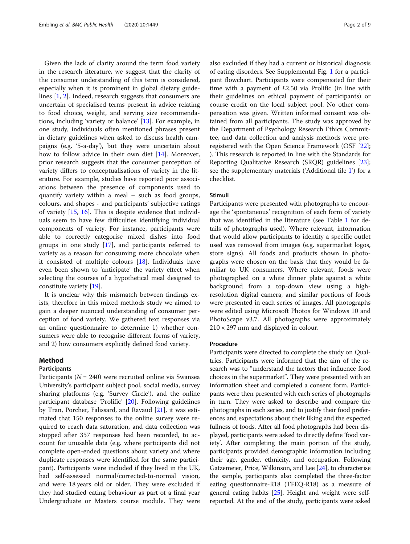Given the lack of clarity around the term food variety in the research literature, we suggest that the clarity of the consumer understanding of this term is considered, especially when it is prominent in global dietary guidelines [[1,](#page-7-0) [2\]](#page-7-0). Indeed, research suggests that consumers are uncertain of specialised terms present in advice relating to food choice, weight, and serving size recommendations, including 'variety or balance' [\[13](#page-8-0)]. For example, in one study, individuals often mentioned phrases present in dietary guidelines when asked to discuss health campaigns (e.g. '5-a-day'), but they were uncertain about how to follow advice in their own diet [\[14\]](#page-8-0). Moreover, prior research suggests that the consumer perception of variety differs to conceptualisations of variety in the literature. For example, studies have reported poor associations between the presence of components used to quantify variety within a meal – such as food groups, colours, and shapes - and participants' subjective ratings of variety [\[15,](#page-8-0) [16\]](#page-8-0). This is despite evidence that individuals seem to have few difficulties identifying individual components of variety. For instance, participants were able to correctly categorise mixed dishes into food groups in one study [\[17\]](#page-8-0), and participants referred to variety as a reason for consuming more chocolate when it consisted of multiple colours [[18](#page-8-0)]. Individuals have even been shown to 'anticipate' the variety effect when selecting the courses of a hypothetical meal designed to constitute variety [\[19](#page-8-0)].

It is unclear why this mismatch between findings exists, therefore in this mixed methods study we aimed to gain a deeper nuanced understanding of consumer perception of food variety. We gathered text responses via an online questionnaire to determine 1) whether consumers were able to recognise different forms of variety, and 2) how consumers explicitly defined food variety.

## Method

## Participants

Participants ( $N = 240$ ) were recruited online via Swansea University's participant subject pool, social media, survey sharing platforms (e.g. 'Survey Circle'), and the online participant database 'Prolific' [\[20](#page-8-0)]. Following guidelines by Tran, Porcher, Falissard, and Ravaud [[21](#page-8-0)], it was estimated that 150 responses to the online survey were required to reach data saturation, and data collection was stopped after 357 responses had been recorded, to account for unusable data (e.g. where participants did not complete open-ended questions about variety and where duplicate responses were identified for the same participant). Participants were included if they lived in the UK, had self-assessed normal/corrected-to-normal vision, and were 18 years old or older. They were excluded if they had studied eating behaviour as part of a final year Undergraduate or Masters course module. They were also excluded if they had a current or historical diagnosis of eating disorders. See Supplemental Fig. [1](#page-7-0) for a participant flowchart. Participants were compensated for their time with a payment of £2.50 via Prolific (in line with their guidelines on ethical payment of participants) or course credit on the local subject pool. No other compensation was given. Written informed consent was obtained from all participants. The study was approved by the Department of Psychology Research Ethics Committee, and data collection and analysis methods were preregistered with the Open Science Framework (OSF [\[22](#page-8-0)]; ). This research is reported in line with the Standards for Reporting Qualitative Research (SRQR) guidelines [\[23](#page-8-0)]; see the supplementary materials ('Additional file [1](#page-7-0)') for a checklist.

## Stimuli

Participants were presented with photographs to encourage the 'spontaneous' recognition of each form of variety that was identified in the literature (see Table [1](#page-2-0) for details of photographs used). Where relevant, information that would allow participants to identify a specific outlet used was removed from images (e.g. supermarket logos, store signs). All foods and products shown in photographs were chosen on the basis that they would be familiar to UK consumers. Where relevant, foods were photographed on a white dinner plate against a white background from a top-down view using a highresolution digital camera, and similar portions of foods were presented in each series of images. All photographs were edited using Microsoft Photos for Windows 10 and PhotoScape v3.7. All photographs were approximately  $210 \times 297$  mm and displayed in colour.

### Procedure

Participants were directed to complete the study on Qualtrics. Participants were informed that the aim of the research was to "understand the factors that influence food choices in the supermarket". They were presented with an information sheet and completed a consent form. Participants were then presented with each series of photographs in turn. They were asked to describe and compare the photographs in each series, and to justify their food preferences and expectations about their liking and the expected fullness of foods. After all food photographs had been displayed, participants were asked to directly define 'food variety'. After completing the main portion of the study, participants provided demographic information including their age, gender, ethnicity, and occupation. Following Gatzemeier, Price, Wilkinson, and Lee  $[24]$ , to characterise the sample, participants also completed the three-factor eating questionnaire-R18 (TFEQ-R18) as a measure of general eating habits [[25](#page-8-0)]. Height and weight were selfreported. At the end of the study, participants were asked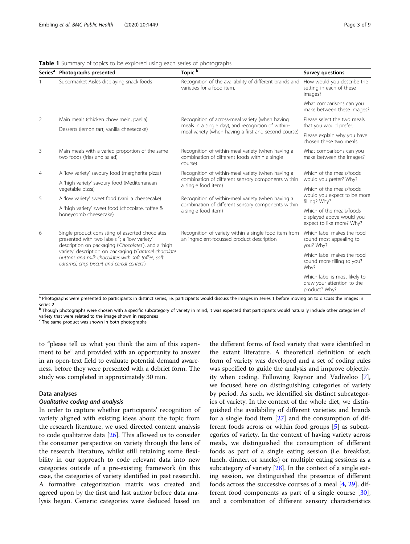|                | Series <sup>a</sup> Photographs presented                                                                                                                                                                                                                                                                                          | Topic <sup>b</sup>                                                                                                             | <b>Survey questions</b>                                                            |  |
|----------------|------------------------------------------------------------------------------------------------------------------------------------------------------------------------------------------------------------------------------------------------------------------------------------------------------------------------------------|--------------------------------------------------------------------------------------------------------------------------------|------------------------------------------------------------------------------------|--|
|                | Supermarket Aisles displaying snack foods                                                                                                                                                                                                                                                                                          | Recognition of the availability of different brands and<br>varieties for a food item.                                          | How would you describe the<br>setting in each of these<br>images?                  |  |
|                |                                                                                                                                                                                                                                                                                                                                    |                                                                                                                                | What comparisons can you<br>make between these images?                             |  |
| 2              | Main meals (chicken chow mein, paella)<br>Desserts (lemon tart, vanilla cheesecake)                                                                                                                                                                                                                                                | Recognition of across-meal variety (when having<br>meals in a single day), and recognition of within-                          | Please select the two meals<br>that you would prefer.                              |  |
|                |                                                                                                                                                                                                                                                                                                                                    | meal variety (when having a first and second course)                                                                           | Please explain why you have<br>chosen these two meals.                             |  |
| 3              | Main meals with a varied proportion of the same<br>two foods (fries and salad)                                                                                                                                                                                                                                                     | Recognition of within-meal variety (when having a<br>combination of different foods within a single<br>course)                 | What comparisons can you<br>make between the images?                               |  |
| $\overline{4}$ | A 'low variety' savoury food (margherita pizza)                                                                                                                                                                                                                                                                                    | Recognition of within-meal variety (when having a<br>combination of different sensory components within<br>a single food item) | Which of the meals/foods<br>would you prefer? Why?                                 |  |
|                | A 'high variety' savoury food (Mediterranean<br>vegetable pizza)                                                                                                                                                                                                                                                                   |                                                                                                                                | Which of the meals/foods                                                           |  |
| 5              | A 'low variety' sweet food (vanilla cheesecake)                                                                                                                                                                                                                                                                                    | Recognition of within-meal variety (when having a                                                                              | would you expect to be more<br>filling? Why?                                       |  |
|                | A 'high variety' sweet food (chocolate, toffee &<br>honeycomb cheesecake)                                                                                                                                                                                                                                                          | combination of different sensory components within<br>a single food item)                                                      | Which of the meals/foods<br>displayed above would you<br>expect to like more? Why? |  |
| 6              | Single product consisting of assorted chocolates<br>presented with two labels <sup>c</sup> ; a 'low variety'<br>description on packaging ('Chocolates'), and a 'high<br>variety' description on packaging ('Caramel chocolate<br>buttons and milk chocolates with soft toffee, soft<br>caramel, crisp biscuit and cereal centers') | Recognition of variety within a single food item from<br>an ingredient-focussed product description                            | Which label makes the food<br>sound most appealing to<br>you? Why?                 |  |
|                |                                                                                                                                                                                                                                                                                                                                    |                                                                                                                                | Which label makes the food<br>sound more filling to you?<br>Why?                   |  |
|                |                                                                                                                                                                                                                                                                                                                                    |                                                                                                                                | Which label is most likely to<br>draw your attention to the<br>product? Why?       |  |

<span id="page-2-0"></span>Table 1 Summary of topics to be explored using each series of photographs

<sup>a</sup> Photographs were presented to participants in distinct series, i.e. participants would discuss the images in series 1 before moving on to discuss the images in series 2

<sup>b</sup> Though photographs were chosen with a specific subcategory of variety in mind, it was expected that participants would naturally include other categories of variety that were related to the image shown in responses

<sup>c</sup> The same product was shown in both photographs

to "please tell us what you think the aim of this experiment to be" and provided with an opportunity to answer in an open-text field to evaluate potential demand awareness, before they were presented with a debrief form. The study was completed in approximately 30 min.

#### Data analyses

#### Qualitative coding and analysis

In order to capture whether participants' recognition of variety aligned with existing ideas about the topic from the research literature, we used directed content analysis to code qualitative data [[26\]](#page-8-0). This allowed us to consider the consumer perspective on variety through the lens of the research literature, whilst still retaining some flexibility in our approach to code relevant data into new categories outside of a pre-existing framework (in this case, the categories of variety identified in past research). A formative categorization matrix was created and agreed upon by the first and last author before data analysis began. Generic categories were deduced based on

the different forms of food variety that were identified in the extant literature. A theoretical definition of each form of variety was developed and a set of coding rules was specified to guide the analysis and improve objectivity when coding. Following Raynor and Vadiveloo [\[7](#page-7-0)], we focused here on distinguishing categories of variety by period. As such, we identified six distinct subcategories of variety. In the context of the whole diet, we distinguished the availability of different varieties and brands for a single food item [[27\]](#page-8-0) and the consumption of different foods across or within food groups [\[5](#page-7-0)] as subcategories of variety. In the context of having variety across meals, we distinguished the consumption of different foods as part of a single eating session (i.e. breakfast, lunch, dinner, or snacks) or multiple eating sessions as a subcategory of variety [\[28\]](#page-8-0). In the context of a single eating session, we distinguished the presence of different foods across the successive courses of a meal [\[4,](#page-7-0) [29](#page-8-0)], different food components as part of a single course [\[30](#page-8-0)], and a combination of different sensory characteristics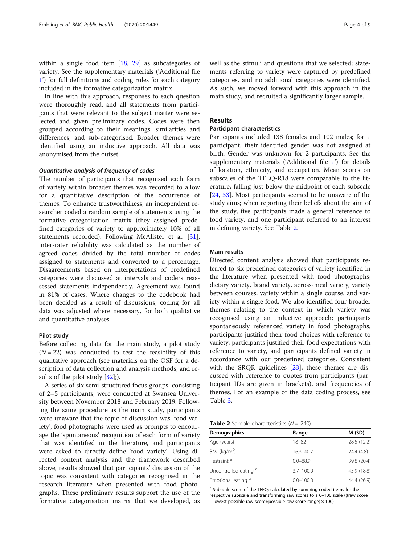within a single food item [[18,](#page-8-0) [29\]](#page-8-0) as subcategories of variety. See the supplementary materials ('Additional file [1](#page-7-0)') for full definitions and coding rules for each category included in the formative categorization matrix.

In line with this approach, responses to each question were thoroughly read, and all statements from participants that were relevant to the subject matter were selected and given preliminary codes. Codes were then grouped according to their meanings, similarities and differences, and sub-categorised. Broader themes were identified using an inductive approach. All data was anonymised from the outset.

#### Quantitative analysis of frequency of codes

The number of participants that recognised each form of variety within broader themes was recorded to allow for a quantitative description of the occurrence of themes. To enhance trustworthiness, an independent researcher coded a random sample of statements using the formative categorisation matrix (they assigned predefined categories of variety to approximately 10% of all statements recorded). Following McAlister et al. [\[31](#page-8-0)], inter-rater reliability was calculated as the number of agreed codes divided by the total number of codes assigned to statements and converted to a percentage. Disagreements based on interpretations of predefined categories were discussed at intervals and coders reassessed statements independently. Agreement was found in 81% of cases. Where changes to the codebook had been decided as a result of discussions, coding for all data was adjusted where necessary, for both qualitative and quantitative analyses.

### Pilot study

Before collecting data for the main study, a pilot study  $(N = 22)$  was conducted to test the feasibility of this qualitative approach (see materials on the OSF for a description of data collection and analysis methods, and results of the pilot study  $[32]$  $[32]$  $[32]$ ;).

A series of six semi-structured focus groups, consisting of 2–5 participants, were conducted at Swansea University between November 2018 and February 2019. Following the same procedure as the main study, participants were unaware that the topic of discussion was 'food variety', food photographs were used as prompts to encourage the 'spontaneous' recognition of each form of variety that was identified in the literature, and participants were asked to directly define 'food variety'. Using directed content analysis and the framework described above, results showed that participants' discussion of the topic was consistent with categories recognised in the research literature when presented with food photographs. These preliminary results support the use of the formative categorisation matrix that we developed, as well as the stimuli and questions that we selected; statements referring to variety were captured by predefined categories, and no additional categories were identified. As such, we moved forward with this approach in the main study, and recruited a significantly larger sample.

## Results

#### Participant characteristics

Participants included 138 females and 102 males; for 1 participant, their identified gender was not assigned at birth. Gender was unknown for 2 participants. See the supplementary materials ('Additional file [1](#page-7-0)') for details of location, ethnicity, and occupation. Mean scores on subscales of the TFEQ-R18 were comparable to the literature, falling just below the midpoint of each subscale [[24,](#page-8-0) [33](#page-8-0)]. Most participants seemed to be unaware of the study aims; when reporting their beliefs about the aim of the study, five participants made a general reference to food variety, and one participant referred to an interest in defining variety. See Table 2.

## Main results

Directed content analysis showed that participants referred to six predefined categories of variety identified in the literature when presented with food photographs; dietary variety, brand variety, across-meal variety, variety between courses, variety within a single course, and variety within a single food. We also identified four broader themes relating to the context in which variety was recognised using an inductive approach; participants spontaneously referenced variety in food photographs, participants justified their food choices with reference to variety, participants justified their food expectations with reference to variety, and participants defined variety in accordance with our predefined categories. Consistent with the SRQR guidelines [[23\]](#page-8-0), these themes are discussed with reference to quotes from participants (participant IDs are given in brackets), and frequencies of themes. For an example of the data coding process, see Table [3.](#page-4-0)

#### **Table 2** Sample characteristics ( $N = 240$ )

| <b>Demographics</b>              | Range         | M (SD)      |
|----------------------------------|---------------|-------------|
| Age (years)                      | $18 - 82$     | 28.5 (12.2) |
| BMI (kg/m <sup>2</sup> )         | $16.3 - 40.7$ | 24.4 (4.8)  |
| Restraint <sup>a</sup>           | $0.0 - 88.9$  | 39.8 (20.4) |
| Uncontrolled eating <sup>a</sup> | $3.7 - 100.0$ | 45.9 (18.8) |
| Emotional eating <sup>a</sup>    | $0.0 - 100.0$ | 44.4 (26.9) |

<sup>a</sup> Subscale score of the TFEQ; calculated by summing coded items for the respective subscale and transforming raw scores to a 0–100 scale (((raw score − lowest possible raw score)/possible raw score range) × 100)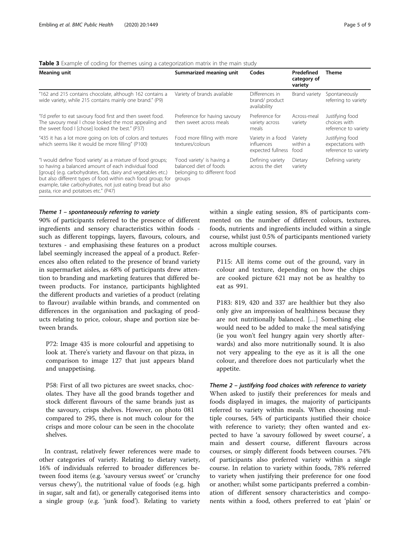#### <span id="page-4-0"></span>Table 3 Example of coding for themes using a categorization matrix in the main study

| Meaning unit                                                                                                                                                                                                                                                                                                                                               | Summarized meaning unit                                                                       | Codes                                                | Predefined<br>category of<br>variety | <b>Theme</b>                                                 |
|------------------------------------------------------------------------------------------------------------------------------------------------------------------------------------------------------------------------------------------------------------------------------------------------------------------------------------------------------------|-----------------------------------------------------------------------------------------------|------------------------------------------------------|--------------------------------------|--------------------------------------------------------------|
| "162 and 215 contains chocolate, although 162 contains a<br>wide variety, while 215 contains mainly one brand." (P9)                                                                                                                                                                                                                                       | Variety of brands available                                                                   | Differences in<br>brand/product<br>availability      | Brand variety                        | Spontaneously<br>referring to variety                        |
| "I'd prefer to eat savoury food first and then sweet food.<br>The savoury meal I chose looked the most appealing and<br>the sweet food I [chose] looked the best." (P37)                                                                                                                                                                                   | Preference for having savoury<br>then sweet across meals                                      | Preference for<br>variety across<br>meals            | Across-meal<br>variety               | Justifying food<br>choices with<br>reference to variety      |
| "435 it has a lot more going on lots of colors and textures<br>which seems like it would be more filling" (P100)                                                                                                                                                                                                                                           | Food more filling with more<br>textures/colours                                               | Variety in a food<br>influences<br>expected fullness | Variety<br>within a<br>tood          | Justifying food<br>expectations with<br>reference to variety |
| "I would define 'food variety' as a mixture of food groups;<br>so having a balanced amount of each individual food<br>[group] (e.g. carbohydrates, fats, dairy and vegetables etc.)<br>but also different types of food within each food group; for<br>example, take carbohydrates, not just eating bread but also<br>pasta, rice and potatoes etc." (P47) | 'Food variety' is having a<br>balanced diet of foods<br>belonging to different food<br>groups | Defining variety<br>across the diet                  | Dietary<br>variety                   | Defining variety                                             |

#### Theme 1 – spontaneously referring to variety

90% of participants referred to the presence of different ingredients and sensory characteristics within foods such as different toppings, layers, flavours, colours, and textures - and emphasising these features on a product label seemingly increased the appeal of a product. References also often related to the presence of brand variety in supermarket aisles, as 68% of participants drew attention to branding and marketing features that differed between products. For instance, participants highlighted the different products and varieties of a product (relating to flavour) available within brands, and commented on differences in the organisation and packaging of products relating to price, colour, shape and portion size between brands.

P72: Image 435 is more colourful and appetising to look at. There's variety and flavour on that pizza, in comparison to image 127 that just appears bland and unappetising.

P58: First of all two pictures are sweet snacks, chocolates. They have all the good brands together and stock different flavours of the same brands just as the savoury, crisps shelves. However, on photo 081 compared to 295, there is not much colour for the crisps and more colour can be seen in the chocolate shelves.

In contrast, relatively fewer references were made to other categories of variety. Relating to dietary variety, 16% of individuals referred to broader differences between food items (e.g. 'savoury versus sweet' or 'crunchy versus chewy'), the nutritional value of foods (e.g. high in sugar, salt and fat), or generally categorised items into a single group (e.g. 'junk food'). Relating to variety within a single eating session, 8% of participants commented on the number of different colours, textures, foods, nutrients and ingredients included within a single course, whilst just 0.5% of participants mentioned variety across multiple courses.

P115: All items come out of the ground, vary in colour and texture, depending on how the chips are cooked picture 621 may not be as healthy to eat as 991.

P183: 819, 420 and 337 are healthier but they also only give an impression of healthiness because they are not nutritionally balanced. […] Something else would need to be added to make the meal satisfying (ie you won't feel hungry again very shortly afterwards) and also more nutritionally sound. It is also not very appealing to the eye as it is all the one colour, and therefore does not particularly whet the appetite.

## Theme 2 – justifying food choices with reference to variety

When asked to justify their preferences for meals and foods displayed in images, the majority of participants referred to variety within meals. When choosing multiple courses, 54% of participants justified their choice with reference to variety; they often wanted and expected to have 'a savoury followed by sweet course', a main and dessert course, different flavours across courses, or simply different foods between courses. 74% of participants also preferred variety within a single course. In relation to variety within foods, 78% referred to variety when justifying their preference for one food or another; whilst some participants preferred a combination of different sensory characteristics and components within a food, others preferred to eat 'plain' or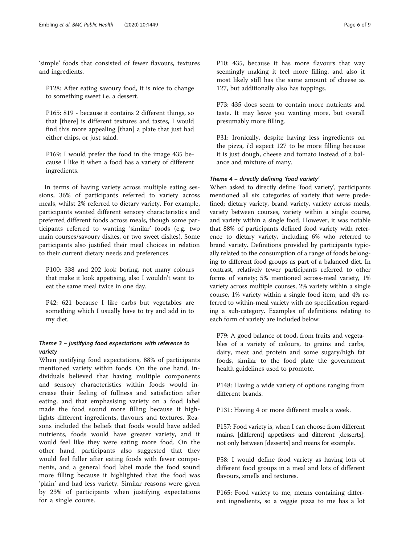'simple' foods that consisted of fewer flavours, textures and ingredients.

P128: After eating savoury food, it is nice to change to something sweet i.e. a dessert.

P165: 819 - because it contains 2 different things, so that [there] is different textures and tastes, I would find this more appealing [than] a plate that just had either chips, or just salad.

P169: I would prefer the food in the image 435 because I like it when a food has a variety of different ingredients.

In terms of having variety across multiple eating sessions, 36% of participants referred to variety across meals, whilst 2% referred to dietary variety. For example, participants wanted different sensory characteristics and preferred different foods across meals, though some participants referred to wanting 'similar' foods (e.g. two main courses/savoury dishes, or two sweet dishes). Some participants also justified their meal choices in relation to their current dietary needs and preferences.

P100: 338 and 202 look boring, not many colours that make it look appetising, also I wouldn't want to eat the same meal twice in one day.

P42: 621 because I like carbs but vegetables are something which I usually have to try and add in to my diet.

## Theme 3 – justifying food expectations with reference to variety

When justifying food expectations, 88% of participants mentioned variety within foods. On the one hand, individuals believed that having multiple components and sensory characteristics within foods would increase their feeling of fullness and satisfaction after eating, and that emphasising variety on a food label made the food sound more filling because it highlights different ingredients, flavours and textures. Reasons included the beliefs that foods would have added nutrients, foods would have greater variety, and it would feel like they were eating more food. On the other hand, participants also suggested that they would feel fuller after eating foods with fewer components, and a general food label made the food sound more filling because it highlighted that the food was 'plain' and had less variety. Similar reasons were given by 23% of participants when justifying expectations for a single course.

P10: 435, because it has more flavours that way seemingly making it feel more filling, and also it most likely still has the same amount of cheese as 127, but additionally also has toppings.

P73: 435 does seem to contain more nutrients and taste. It may leave you wanting more, but overall presumably more filling.

P31: Ironically, despite having less ingredients on the pizza, i'd expect 127 to be more filling because it is just dough, cheese and tomato instead of a balance and mixture of many.

## Theme 4 – directly defining 'food variety'

When asked to directly define 'food variety', participants mentioned all six categories of variety that were predefined; dietary variety, brand variety, variety across meals, variety between courses, variety within a single course, and variety within a single food. However, it was notable that 88% of participants defined food variety with reference to dietary variety, including 6% who referred to brand variety. Definitions provided by participants typically related to the consumption of a range of foods belonging to different food groups as part of a balanced diet. In contrast, relatively fewer participants referred to other forms of variety; 5% mentioned across-meal variety, 1% variety across multiple courses, 2% variety within a single course, 1% variety within a single food item, and 4% referred to within-meal variety with no specification regarding a sub-category. Examples of definitions relating to each form of variety are included below:

P79: A good balance of food, from fruits and vegetables of a variety of colours, to grains and carbs, dairy, meat and protein and some sugary/high fat foods, similar to the food plate the government health guidelines used to promote.

P148: Having a wide variety of options ranging from different brands.

P131: Having 4 or more different meals a week.

P157: Food variety is, when I can choose from different mains, [different] appetisers and different [desserts], not only between [desserts] and mains for example.

P58: I would define food variety as having lots of different food groups in a meal and lots of different flavours, smells and textures.

P165: Food variety to me, means containing different ingredients, so a veggie pizza to me has a lot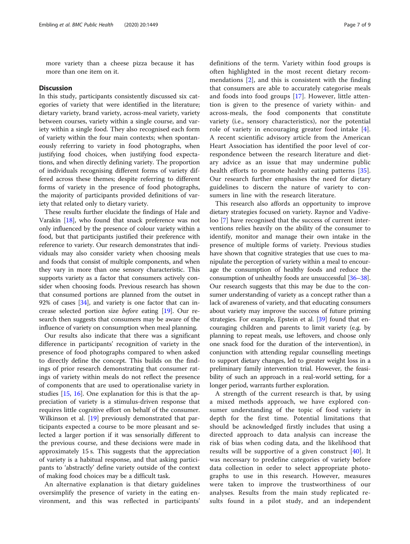more variety than a cheese pizza because it has more than one item on it.

#### **Discussion**

In this study, participants consistently discussed six categories of variety that were identified in the literature; dietary variety, brand variety, across-meal variety, variety between courses, variety within a single course, and variety within a single food. They also recognised each form of variety within the four main contexts; when spontaneously referring to variety in food photographs, when justifying food choices, when justifying food expectations, and when directly defining variety. The proportion of individuals recognising different forms of variety differed across these themes; despite referring to different forms of variety in the presence of food photographs, the majority of participants provided definitions of variety that related only to dietary variety.

These results further elucidate the findings of Hale and Varakin [[18](#page-8-0)], who found that snack preference was not only influenced by the presence of colour variety within a food, but that participants justified their preference with reference to variety. Our research demonstrates that individuals may also consider variety when choosing meals and foods that consist of multiple components, and when they vary in more than one sensory characteristic. This supports variety as a factor that consumers actively consider when choosing foods. Previous research has shown that consumed portions are planned from the outset in 92% of cases [[34](#page-8-0)], and variety is one factor that can increase selected portion size before eating [[19\]](#page-8-0). Our research then suggests that consumers may be aware of the influence of variety on consumption when meal planning.

Our results also indicate that there was a significant difference in participants' recognition of variety in the presence of food photographs compared to when asked to directly define the concept. This builds on the findings of prior research demonstrating that consumer ratings of variety within meals do not reflect the presence of components that are used to operationalise variety in studies [[15](#page-8-0), [16\]](#page-8-0). One explanation for this is that the appreciation of variety is a stimulus-driven response that requires little cognitive effort on behalf of the consumer. Wilkinson et al. [[19\]](#page-8-0) previously demonstrated that participants expected a course to be more pleasant and selected a larger portion if it was sensorially different to the previous course, and these decisions were made in approximately 15 s. This suggests that the appreciation of variety is a habitual response, and that asking participants to 'abstractly' define variety outside of the context of making food choices may be a difficult task.

An alternative explanation is that dietary guidelines oversimplify the presence of variety in the eating environment, and this was reflected in participants' definitions of the term. Variety within food groups is often highlighted in the most recent dietary recommendations [[2](#page-7-0)], and this is consistent with the finding that consumers are able to accurately categorise meals and foods into food groups [[17\]](#page-8-0). However, little attention is given to the presence of variety within- and across-meals, the food components that constitute variety (i.e., sensory characteristics), nor the potential role of variety in encouraging greater food intake [\[4](#page-7-0)]. A recent scientific advisory article from the American Heart Association has identified the poor level of correspondence between the research literature and dietary advice as an issue that may undermine public health efforts to promote healthy eating patterns [\[35](#page-8-0)]. Our research further emphasises the need for dietary guidelines to discern the nature of variety to consumers in line with the research literature.

This research also affords an opportunity to improve dietary strategies focused on variety. Raynor and Vadiveloo [[7\]](#page-7-0) have recognised that the success of current interventions relies heavily on the ability of the consumer to identify, monitor and manage their own intake in the presence of multiple forms of variety. Previous studies have shown that cognitive strategies that use cues to manipulate the perception of variety within a meal to encourage the consumption of healthy foods and reduce the consumption of unhealthy foods are unsuccessful [\[36](#page-8-0)–[38](#page-8-0)]. Our research suggests that this may be due to the consumer understanding of variety as a concept rather than a lack of awareness of variety, and that educating consumers about variety may improve the success of future priming strategies. For example, Epstein et al. [[39](#page-8-0)] found that encouraging children and parents to limit variety (e.g. by planning to repeat meals, use leftovers, and choose only one snack food for the duration of the intervention), in conjunction with attending regular counselling meetings to support dietary changes, led to greater weight loss in a preliminary family intervention trial. However, the feasibility of such an approach in a real-world setting, for a longer period, warrants further exploration.

A strength of the current research is that, by using a mixed methods approach, we have explored consumer understanding of the topic of food variety in depth for the first time. Potential limitations that should be acknowledged firstly includes that using a directed approach to data analysis can increase the risk of bias when coding data, and the likelihood that results will be supportive of a given construct  $[40]$  $[40]$ . It was necessary to predefine categories of variety before data collection in order to select appropriate photographs to use in this research. However, measures were taken to improve the trustworthiness of our analyses. Results from the main study replicated results found in a pilot study, and an independent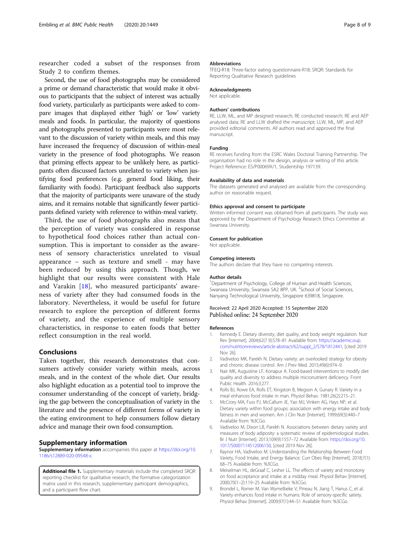<span id="page-7-0"></span>researcher coded a subset of the responses from Study 2 to confirm themes.

Second, the use of food photographs may be considered a prime or demand characteristic that would make it obvious to participants that the subject of interest was actually food variety, particularly as participants were asked to compare images that displayed either 'high' or 'low' variety meals and foods. In particular, the majority of questions and photographs presented to participants were most relevant to the discussion of variety within meals, and this may have increased the frequency of discussion of within-meal variety in the presence of food photographs. We reason that priming effects appear to be unlikely here, as participants often discussed factors unrelated to variety when justifying food preferences (e.g. general food liking, their familiarity with foods). Participant feedback also supports that the majority of participants were unaware of the study aims, and it remains notable that significantly fewer participants defined variety with reference to within-meal variety.

Third, the use of food photographs also means that the perception of variety was considered in response to hypothetical food choices rather than actual consumption. This is important to consider as the awareness of sensory characteristics unrelated to visual appearance – such as texture and smell - may have been reduced by using this approach. Though, we highlight that our results were consistent with Hale and Varakin [\[18](#page-8-0)], who measured participants' awareness of variety after they had consumed foods in the laboratory. Nevertheless, it would be useful for future research to explore the perception of different forms of variety, and the experience of multiple sensory characteristics, in response to eaten foods that better reflect consumption in the real world.

## Conclusions

Taken together, this research demonstrates that consumers actively consider variety within meals, across meals, and in the context of the whole diet. Our results also highlight education as a potential tool to improve the consumer understanding of the concept of variety, bridging the gap between the conceptualisation of variety in the literature and the presence of different forms of variety in the eating environment to help consumers follow dietary advice and manage their own food consumption.

#### Supplementary information

Supplementary information accompanies this paper at [https://doi.org/10.](https://doi.org/10.1186/s12889-020-09548-x) [1186/s12889-020-09548-x.](https://doi.org/10.1186/s12889-020-09548-x)

Additional file 1. Supplementary materials include the completed SRQR reporting checklist for qualitative research, the formative categorization matrix used in this research, supplementary participant demographics, and a participant flow chart.

#### Abbreviations

TFEQ-R18: Three-factor eating questionnaire-R18; SRQR: Standards for Reporting Qualitative Research guidelines

### Acknowledgments

Not applicable.

#### Authors' contributions

RE, LLW, ML, and MP designed research; RE conducted research; RE and AEP analysed data; RF and LLW drafted the manuscript; LLW, ML, MP, and AFP provided editorial comments. All authors read and approved the final manuscript.

#### Funding

RE receives funding from the ESRC Wales Doctoral Training Partnership. The organisation had no role in the design, analysis or writing of this article. Project Reference: ES/P00069X/1, Studentship 197139.

#### Availability of data and materials

The datasets generated and analysed are available from the corresponding author on reasonable request.

#### Ethics approval and consent to participate

Written informed consent was obtained from all participants. The study was approved by the Department of Psychology Research Ethics Committee at Swansea University.

#### Consent for publication

Not applicable.

#### Competing interests

The authors declare that they have no competing interests.

#### Author details

<sup>1</sup>Department of Psychology, College of Human and Health Sciences, Swansea University, Swansea SA2 8PP, UK. <sup>2</sup>School of Social Sciences Nanyang Technological University, Singapore 639818, Singapore.

### Received: 22 April 2020 Accepted: 15 September 2020 Published online: 24 September 2020

#### References

- 1. Kennedy E. Dietary diversity, diet quality, and body weight regulation. Nutr Rev [Internet]. 2004;62(7 II):S78–81 Available from: [https://academic.oup.](https://academic.oup.com/nutritionreviews/article-abstract/62/suppl_2/S78/1812441) [com/nutritionreviews/article-abstract/62/suppl\\_2/S78/1812441](https://academic.oup.com/nutritionreviews/article-abstract/62/suppl_2/S78/1812441), [cited 2019 Nov 26].
- 2. Vadiveloo MK, Parekh N. Dietary variety: an overlooked strategy for obesity and chronic disease control. Am J Prev Med. 2015;49(6):974–9.
- 3. Nair MK, Augustine LF, Konapur A. Food-based interventions to modify diet quality and diversity to address multiple micronutrient deficiency. Front Public Health. 2016;3:277.
- 4. Rolls BJ, Rowe EA, Rolls ET, Kingston B, Megson A, Gunary R. Variety in a meal enhances food intake in man. Physiol Behav. 1981;26(2):215–21.
- McCrory MA, Fuss PJ, McCallum JE, Yao MJ, Vinken AG, Hays NP, et al. Dietary variety within food groups: association with energy intake and body fatness in men and women. Am J Clin Nutr [Internet]. 1999;69(3):440–7 Available from: %3CGo.
- 6. Vadiveloo M, Dixon LB, Parekh N. Associations between dietary variety and measures of body adiposity: a systematic review of epidemiological studies. Br J Nutr [Internet]. 2013;109(9):1557–72 Available from: [https://doi.org/10.](https://doi.org/10.1017/S0007114512006150) [1017/S0007114512006150,](https://doi.org/10.1017/S0007114512006150) [cited 2019 Nov 26].
- 7. Raynor HA, Vadiveloo M. Understanding the Relationship Between Food Variety, Food Intake, and Energy Balance. Curr Obes Rep [Internet]. 2018;7(1): 68–75 Available from: %3CGo.
- 8. Meiselman HL, deGraaf C, Lesher LL. The effects of variety and monotony on food acceptance and intake at a midday meal. Physiol Behav [Internet]. 2000;70(1–2):119–25 Available from: %3CGo.
- 9. Brondel L, Romer M, Van Wymelbeke V, Pineau N, Jiang T, Hanus C, et al. Variety enhances food intake in humans: Role of sensory-specific satiety. Physiol Behav [Internet]. 2009;97(1):44–51 Available from: %3CGo.